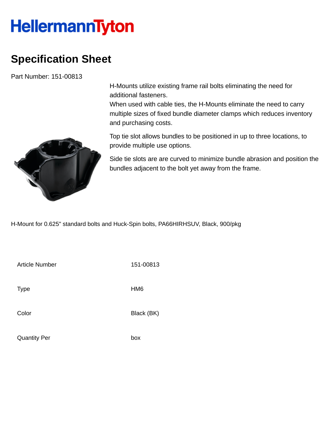## **HellermannTyton**

## **Specification Sheet**

Part Number: 151-00813

H-Mounts utilize existing frame rail bolts eliminating the need for additional fasteners.

When used with cable ties, the H-Mounts eliminate the need to carry multiple sizes of fixed bundle diameter clamps which reduces inventory and purchasing costs.



Top tie slot allows bundles to be positioned in up to three locations, to provide multiple use options.

Side tie slots are are curved to minimize bundle abrasion and position the bundles adjacent to the bolt yet away from the frame.

H-Mount for 0.625" standard bolts and Huck-Spin bolts, PA66HIRHSUV, Black, 900/pkg

Article Number 151-00813 Type HM6 Color Black (BK)

Quantity Per box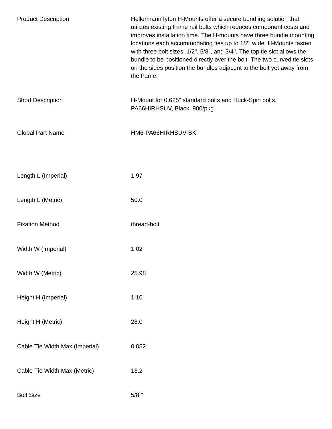| <b>Product Description</b>     | HellermannTyton H-Mounts offer a secure bundling solution that<br>utilizes existing frame rail bolts which reduces component costs and<br>improves installation time. The H-mounts have three bundle mounting<br>locations each accommodating ties up to 1/2" wide. H-Mounts fasten<br>with three bolt sizes: 1/2", 5/8", and 3/4". The top tie slot allows the<br>bundle to be positioned directly over the bolt. The two curved tie slots<br>on the sides position the bundles adjacent to the bolt yet away from<br>the frame. |
|--------------------------------|-----------------------------------------------------------------------------------------------------------------------------------------------------------------------------------------------------------------------------------------------------------------------------------------------------------------------------------------------------------------------------------------------------------------------------------------------------------------------------------------------------------------------------------|
| <b>Short Description</b>       | H-Mount for 0.625" standard bolts and Huck-Spin bolts,<br>PA66HIRHSUV, Black, 900/pkg                                                                                                                                                                                                                                                                                                                                                                                                                                             |
| <b>Global Part Name</b>        | HM6-PA66HIRHSUV-BK                                                                                                                                                                                                                                                                                                                                                                                                                                                                                                                |
|                                |                                                                                                                                                                                                                                                                                                                                                                                                                                                                                                                                   |
| Length L (Imperial)            | 1.97                                                                                                                                                                                                                                                                                                                                                                                                                                                                                                                              |
| Length L (Metric)              | 50.0                                                                                                                                                                                                                                                                                                                                                                                                                                                                                                                              |
| <b>Fixation Method</b>         | thread-bolt                                                                                                                                                                                                                                                                                                                                                                                                                                                                                                                       |
| Width W (Imperial)             | 1.02                                                                                                                                                                                                                                                                                                                                                                                                                                                                                                                              |
| Width W (Metric)               | 25.98                                                                                                                                                                                                                                                                                                                                                                                                                                                                                                                             |
| Height H (Imperial)            | 1.10                                                                                                                                                                                                                                                                                                                                                                                                                                                                                                                              |
| Height H (Metric)              | 28.0                                                                                                                                                                                                                                                                                                                                                                                                                                                                                                                              |
| Cable Tie Width Max (Imperial) | 0.052                                                                                                                                                                                                                                                                                                                                                                                                                                                                                                                             |
| Cable Tie Width Max (Metric)   | 13.2                                                                                                                                                                                                                                                                                                                                                                                                                                                                                                                              |
| <b>Bolt Size</b>               | $5/8$ "                                                                                                                                                                                                                                                                                                                                                                                                                                                                                                                           |